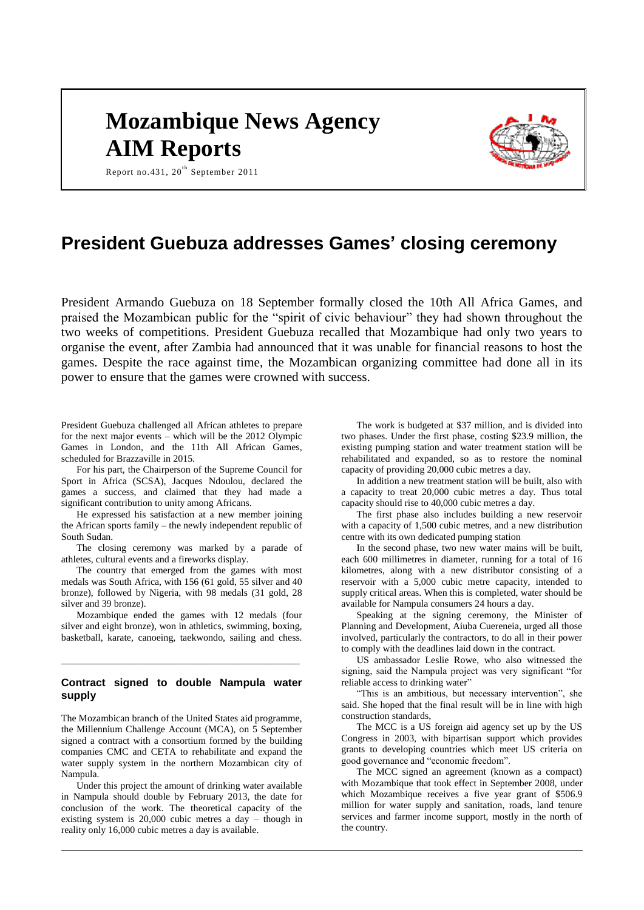# **Mozambique News Agency AIM Reports**



Report no. 431,  $20^{\text{th}}$  September 2011

# **President Guebuza addresses Games' closing ceremony**

President Armando Guebuza on 18 September formally closed the 10th All Africa Games, and praised the Mozambican public for the "spirit of civic behaviour" they had shown throughout the two weeks of competitions. President Guebuza recalled that Mozambique had only two years to organise the event, after Zambia had announced that it was unable for financial reasons to host the games. Despite the race against time, the Mozambican organizing committee had done all in its power to ensure that the games were crowned with success.

President Guebuza challenged all African athletes to prepare for the next major events – which will be the 2012 Olympic Games in London, and the 11th All African Games, scheduled for Brazzaville in 2015.

For his part, the Chairperson of the Supreme Council for Sport in Africa (SCSA), Jacques Ndoulou, declared the games a success, and claimed that they had made a significant contribution to unity among Africans.

He expressed his satisfaction at a new member joining the African sports family – the newly independent republic of South Sudan.

The closing ceremony was marked by a parade of athletes, cultural events and a fireworks display.

The country that emerged from the games with most medals was South Africa, with 156 (61 gold, 55 silver and 40 bronze), followed by Nigeria, with 98 medals (31 gold, 28 silver and 39 bronze).

Mozambique ended the games with 12 medals (four silver and eight bronze), won in athletics, swimming, boxing, basketball, karate, canoeing, taekwondo, sailing and chess.

## **Contract signed to double Nampula water supply**

\_\_\_\_\_\_\_\_\_\_\_\_\_\_\_\_\_\_\_\_\_\_\_\_\_\_\_\_\_\_\_\_\_\_\_\_\_\_\_\_\_\_\_\_\_\_\_\_\_

The Mozambican branch of the United States aid programme, the Millennium Challenge Account (MCA), on 5 September signed a contract with a consortium formed by the building companies CMC and CETA to rehabilitate and expand the water supply system in the northern Mozambican city of Nampula.

Under this project the amount of drinking water available in Nampula should double by February 2013, the date for conclusion of the work. The theoretical capacity of the existing system is 20,000 cubic metres a day – though in reality only 16,000 cubic metres a day is available.

The work is budgeted at \$37 million, and is divided into two phases. Under the first phase, costing \$23.9 million, the existing pumping station and water treatment station will be rehabilitated and expanded, so as to restore the nominal capacity of providing 20,000 cubic metres a day.

In addition a new treatment station will be built, also with a capacity to treat 20,000 cubic metres a day. Thus total capacity should rise to 40,000 cubic metres a day.

The first phase also includes building a new reservoir with a capacity of 1,500 cubic metres, and a new distribution centre with its own dedicated pumping station

In the second phase, two new water mains will be built, each 600 millimetres in diameter, running for a total of 16 kilometres, along with a new distributor consisting of a reservoir with a 5,000 cubic metre capacity, intended to supply critical areas. When this is completed, water should be available for Nampula consumers 24 hours a day.

Speaking at the signing ceremony, the Minister of Planning and Development, Aiuba Cuereneia, urged all those involved, particularly the contractors, to do all in their power to comply with the deadlines laid down in the contract.

US ambassador Leslie Rowe, who also witnessed the signing, said the Nampula project was very significant "for reliable access to drinking water"

"This is an ambitious, but necessary intervention", she said. She hoped that the final result will be in line with high construction standards,

The MCC is a US foreign aid agency set up by the US Congress in 2003, with bipartisan support which provides grants to developing countries which meet US criteria on good governance and "economic freedom".

The MCC signed an agreement (known as a compact) with Mozambique that took effect in September 2008, under which Mozambique receives a five year grant of \$506.9 million for water supply and sanitation, roads, land tenure services and farmer income support, mostly in the north of the country.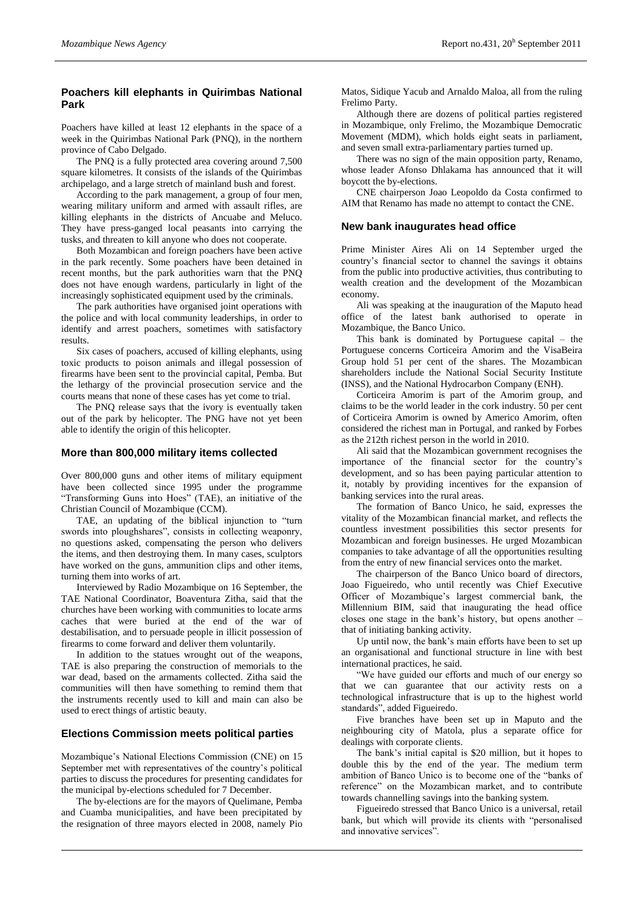# **Poachers kill elephants in Quirimbas National Park**

Poachers have killed at least 12 elephants in the space of a week in the Quirimbas National Park (PNQ), in the northern province of Cabo Delgado.

The PNQ is a fully protected area covering around 7,500 square kilometres. It consists of the islands of the Quirimbas archipelago, and a large stretch of mainland bush and forest.

According to the park management, a group of four men, wearing military uniform and armed with assault rifles, are killing elephants in the districts of Ancuabe and Meluco. They have press-ganged local peasants into carrying the tusks, and threaten to kill anyone who does not cooperate.

Both Mozambican and foreign poachers have been active in the park recently. Some poachers have been detained in recent months, but the park authorities warn that the PNQ does not have enough wardens, particularly in light of the increasingly sophisticated equipment used by the criminals.

The park authorities have organised joint operations with the police and with local community leaderships, in order to identify and arrest poachers, sometimes with satisfactory results.

Six cases of poachers, accused of killing elephants, using toxic products to poison animals and illegal possession of firearms have been sent to the provincial capital, Pemba. But the lethargy of the provincial prosecution service and the courts means that none of these cases has yet come to trial.

The PNQ release says that the ivory is eventually taken out of the park by helicopter. The PNG have not yet been able to identify the origin of this helicopter.

#### **More than 800,000 military items collected**

Over 800,000 guns and other items of military equipment have been collected since 1995 under the programme "Transforming Guns into Hoes" (TAE), an initiative of the Christian Council of Mozambique (CCM).

TAE, an updating of the biblical injunction to "turn swords into ploughshares", consists in collecting weaponry, no questions asked, compensating the person who delivers the items, and then destroying them. In many cases, sculptors have worked on the guns, ammunition clips and other items, turning them into works of art.

Interviewed by Radio Mozambique on 16 September, the TAE National Coordinator, Boaventura Zitha, said that the churches have been working with communities to locate arms caches that were buried at the end of the war of destabilisation, and to persuade people in illicit possession of firearms to come forward and deliver them voluntarily.

In addition to the statues wrought out of the weapons, TAE is also preparing the construction of memorials to the war dead, based on the armaments collected. Zitha said the communities will then have something to remind them that the instruments recently used to kill and main can also be used to erect things of artistic beauty.

#### **Elections Commission meets political parties**

Mozambique"s National Elections Commission (CNE) on 15 September met with representatives of the country"s political parties to discuss the procedures for presenting candidates for the municipal by-elections scheduled for 7 December.

The by-elections are for the mayors of Quelimane, Pemba and Cuamba municipalities, and have been precipitated by the resignation of three mayors elected in 2008, namely Pio

Matos, Sidique Yacub and Arnaldo Maloa, all from the ruling Frelimo Party.

Although there are dozens of political parties registered in Mozambique, only Frelimo, the Mozambique Democratic Movement (MDM), which holds eight seats in parliament, and seven small extra-parliamentary parties turned up.

There was no sign of the main opposition party, Renamo, whose leader Afonso Dhlakama has announced that it will boycott the by-elections.

CNE chairperson Joao Leopoldo da Costa confirmed to AIM that Renamo has made no attempt to contact the CNE.

#### **New bank inaugurates head office**

Prime Minister Aires Ali on 14 September urged the country"s financial sector to channel the savings it obtains from the public into productive activities, thus contributing to wealth creation and the development of the Mozambican economy.

Ali was speaking at the inauguration of the Maputo head office of the latest bank authorised to operate in Mozambique, the Banco Unico.

This bank is dominated by Portuguese capital – the Portuguese concerns Corticeira Amorim and the VisaBeira Group hold 51 per cent of the shares. The Mozambican shareholders include the National Social Security Institute (INSS), and the National Hydrocarbon Company (ENH).

Corticeira Amorim is part of the Amorim group, and claims to be the world leader in the cork industry. 50 per cent of Corticeira Amorim is owned by Americo Amorim, often considered the richest man in Portugal, and ranked by Forbes as the 212th richest person in the world in 2010.

Ali said that the Mozambican government recognises the importance of the financial sector for the country"s development, and so has been paying particular attention to it, notably by providing incentives for the expansion of banking services into the rural areas.

The formation of Banco Unico, he said, expresses the vitality of the Mozambican financial market, and reflects the countless investment possibilities this sector presents for Mozambican and foreign businesses. He urged Mozambican companies to take advantage of all the opportunities resulting from the entry of new financial services onto the market.

The chairperson of the Banco Unico board of directors, Joao Figueiredo, who until recently was Chief Executive Officer of Mozambique"s largest commercial bank, the Millennium BIM, said that inaugurating the head office closes one stage in the bank"s history, but opens another – that of initiating banking activity.

Up until now, the bank"s main efforts have been to set up an organisational and functional structure in line with best international practices, he said.

"We have guided our efforts and much of our energy so that we can guarantee that our activity rests on a technological infrastructure that is up to the highest world standards", added Figueiredo.

Five branches have been set up in Maputo and the neighbouring city of Matola, plus a separate office for dealings with corporate clients.

The bank"s initial capital is \$20 million, but it hopes to double this by the end of the year. The medium term ambition of Banco Unico is to become one of the "banks of reference" on the Mozambican market, and to contribute towards channelling savings into the banking system.

Figueiredo stressed that Banco Unico is a universal, retail bank, but which will provide its clients with "personalised and innovative services".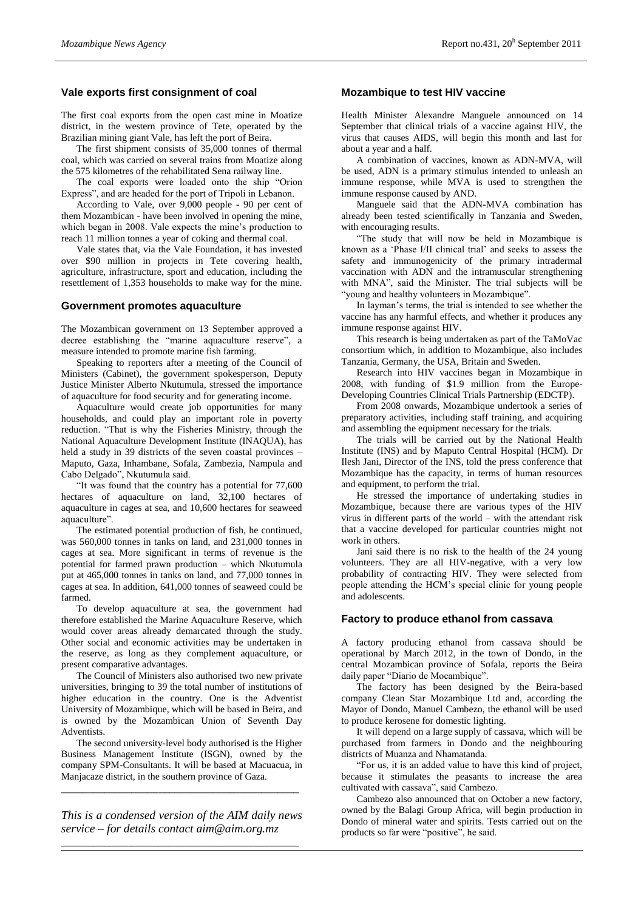# **Vale exports first consignment of coal**

The first coal exports from the open cast mine in Moatize district, in the western province of Tete, operated by the Brazilian mining giant Vale, has left the port of Beira.

The first shipment consists of 35,000 tonnes of thermal coal, which was carried on several trains from Moatize along the 575 kilometres of the rehabilitated Sena railway line.

The coal exports were loaded onto the ship "Orion Express", and are headed for the port of Tripoli in Lebanon.

According to Vale, over 9,000 people - 90 per cent of them Mozambican - have been involved in opening the mine, which began in 2008. Vale expects the mine"s production to reach 11 million tonnes a year of coking and thermal coal.

Vale states that, via the Vale Foundation, it has invested over \$90 million in projects in Tete covering health, agriculture, infrastructure, sport and education, including the resettlement of 1,353 households to make way for the mine.

#### **Government promotes aquaculture**

The Mozambican government on 13 September approved a decree establishing the "marine aquaculture reserve", a measure intended to promote marine fish farming.

Speaking to reporters after a meeting of the Council of Ministers (Cabinet), the government spokesperson, Deputy Justice Minister Alberto Nkutumula, stressed the importance of aquaculture for food security and for generating income.

Aquaculture would create job opportunities for many households, and could play an important role in poverty reduction. "That is why the Fisheries Ministry, through the National Aquaculture Development Institute (INAQUA), has held a study in 39 districts of the seven coastal provinces – Maputo, Gaza, Inhambane, Sofala, Zambezia, Nampula and Cabo Delgado", Nkutumula said.

"It was found that the country has a potential for 77,600 hectares of aquaculture on land, 32,100 hectares of aquaculture in cages at sea, and 10,600 hectares for seaweed aquaculture".

The estimated potential production of fish, he continued, was 560,000 tonnes in tanks on land, and 231,000 tonnes in cages at sea. More significant in terms of revenue is the potential for farmed prawn production – which Nkutumula put at 465,000 tonnes in tanks on land, and 77,000 tonnes in cages at sea. In addition, 641,000 tonnes of seaweed could be farmed.

To develop aquaculture at sea, the government had therefore established the Marine Aquaculture Reserve, which would cover areas already demarcated through the study. Other social and economic activities may be undertaken in the reserve, as long as they complement aquaculture, or present comparative advantages.

The Council of Ministers also authorised two new private universities, bringing to 39 the total number of institutions of higher education in the country. One is the Adventist University of Mozambique, which will be based in Beira, and is owned by the Mozambican Union of Seventh Day Adventists.

The second university-level body authorised is the Higher Business Management Institute (ISGN), owned by the company SPM-Consultants. It will be based at Macuacua, in Manjacaze district, in the southern province of Gaza.

*\_\_\_\_\_\_\_\_\_\_\_\_\_\_\_\_\_\_\_\_\_\_\_\_\_\_\_\_\_\_\_\_\_\_\_\_\_\_\_\_\_\_\_\_*

*This is a condensed version of the AIM daily news service – for details contact [aim@aim.org.mz](mailto:aim@aim.org.mz) \_\_\_\_\_\_\_\_\_\_\_\_\_\_\_\_\_\_\_\_\_\_\_\_\_\_\_\_\_\_\_\_\_\_\_\_\_\_\_\_\_\_\_\_*

#### **Mozambique to test HIV vaccine**

Health Minister Alexandre Manguele announced on 14 September that clinical trials of a vaccine against HIV, the virus that causes AIDS, will begin this month and last for about a year and a half.

A combination of vaccines, known as ADN-MVA, will be used, ADN is a primary stimulus intended to unleash an immune response, while MVA is used to strengthen the immune response caused by AND.

Manguele said that the ADN-MVA combination has already been tested scientifically in Tanzania and Sweden, with encouraging results.

"The study that will now be held in Mozambique is known as a "Phase I/II clinical trial" and seeks to assess the safety and immunogenicity of the primary intradermal vaccination with ADN and the intramuscular strengthening with MNA", said the Minister. The trial subjects will be "young and healthy volunteers in Mozambique".

In layman"s terms, the trial is intended to see whether the vaccine has any harmful effects, and whether it produces any immune response against HIV.

This research is being undertaken as part of the TaMoVac consortium which, in addition to Mozambique, also includes Tanzania, Germany, the USA, Britain and Sweden.

Research into HIV vaccines began in Mozambique in 2008, with funding of \$1.9 million from the Europe-Developing Countries Clinical Trials Partnership (EDCTP).

From 2008 onwards, Mozambique undertook a series of preparatory activities, including staff training, and acquiring and assembling the equipment necessary for the trials.

The trials will be carried out by the National Health Institute (INS) and by Maputo Central Hospital (HCM). Dr Ilesh Jani, Director of the INS, told the press conference that Mozambique has the capacity, in terms of human resources and equipment, to perform the trial.

He stressed the importance of undertaking studies in Mozambique, because there are various types of the HIV virus in different parts of the world – with the attendant risk that a vaccine developed for particular countries might not work in others.

Jani said there is no risk to the health of the 24 young volunteers. They are all HIV-negative, with a very low probability of contracting HIV. They were selected from people attending the HCM"s special clinic for young people and adolescents.

## **Factory to produce ethanol from cassava**

A factory producing ethanol from cassava should be operational by March 2012, in the town of Dondo, in the central Mozambican province of Sofala, reports the Beira daily paper "Diario de Mocambique".

The factory has been designed by the Beira-based company Clean Star Mozambique Ltd and, according the Mayor of Dondo, Manuel Cambezo, the ethanol will be used to produce kerosene for domestic lighting.

It will depend on a large supply of cassava, which will be purchased from farmers in Dondo and the neighbouring districts of Muanza and Nhamatanda.

"For us, it is an added value to have this kind of project, because it stimulates the peasants to increase the area cultivated with cassava", said Cambezo.

Cambezo also announced that on October a new factory, owned by the Balagi Group Africa, will begin production in Dondo of mineral water and spirits. Tests carried out on the products so far were "positive", he said.